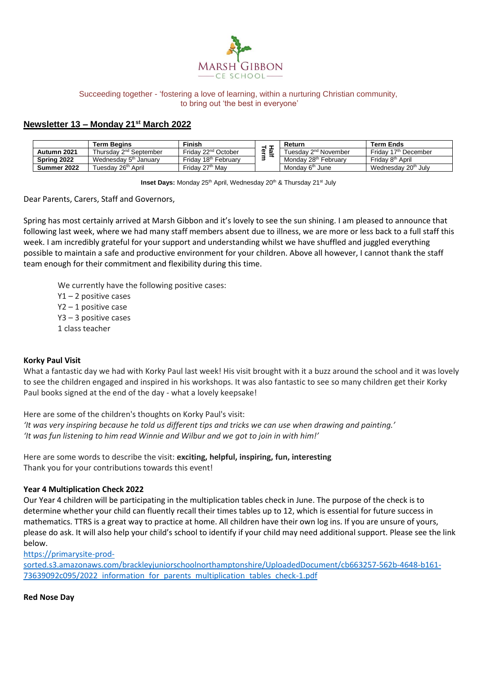

#### Succeeding together - 'fostering a love of learning, within a nurturing Christian community, to bring out 'the best in everyone'

# **Newsletter 13 – Monday 21st March 2022**

|             | Term Beains                        | <b>Finish</b>                    | _      | Return                           | Term Ends                          |
|-------------|------------------------------------|----------------------------------|--------|----------------------------------|------------------------------------|
| Autumn 2021 | Thursday 2 <sup>nd</sup> September | Friday 22 <sup>nd</sup> October  | ø<br>w | Tuesdav 2 <sup>nd</sup> November | Friday 17 <sup>th</sup> December   |
| Spring 2022 | Wednesday 5 <sup>th</sup> January  | Friday 18 <sup>th</sup> February |        | Monday 28 <sup>th</sup> February | Fridav 8 <sup>th</sup> April       |
| Summer 2022 | ruesdav 26 <sup>th</sup> April     | Friday 27 <sup>th</sup> May      |        | Monday 6 <sup>th</sup> June      | Wednesday 20 <sup>th</sup><br>Julv |

**Inset Days:** Monday 25<sup>th</sup> April, Wednesday 20<sup>th</sup> & Thursday 21<sup>st</sup> July

Dear Parents, Carers, Staff and Governors,

Spring has most certainly arrived at Marsh Gibbon and it's lovely to see the sun shining. I am pleased to announce that following last week, where we had many staff members absent due to illness, we are more or less back to a full staff this week. I am incredibly grateful for your support and understanding whilst we have shuffled and juggled everything possible to maintain a safe and productive environment for your children. Above all however, I cannot thank the staff team enough for their commitment and flexibility during this time.

We currently have the following positive cases:

Y1 – 2 positive cases

Y2 – 1 positive case

Y3 – 3 positive cases

1 class teacher

#### **Korky Paul Visit**

What a fantastic day we had with Korky Paul last week! His visit brought with it a buzz around the school and it was lovely to see the children engaged and inspired in his workshops. It was also fantastic to see so many children get their Korky Paul books signed at the end of the day - what a lovely keepsake!

Here are some of the children's thoughts on Korky Paul's visit:

*'It was very inspiring because he told us different tips and tricks we can use when drawing and painting.' 'It was fun listening to him read Winnie and Wilbur and we got to join in with him!'*

Here are some words to describe the visit: **exciting, helpful, inspiring, fun, interesting** Thank you for your contributions towards this event!

#### **Year 4 Multiplication Check 2022**

Our Year 4 children will be participating in the multiplication tables check in June. The purpose of the check is to determine whether your child can fluently recall their times tables up to 12, which is essential for future success in mathematics. TTRS is a great way to practice at home. All children have their own log ins. If you are unsure of yours, please do ask. It will also help your child's school to identify if your child may need additional support. Please see the link below.

[https://primarysite-prod-](https://primarysite-prod-sorted.s3.amazonaws.com/brackleyjuniorschoolnorthamptonshire/UploadedDocument/cb663257-562b-4648-b161-73639092c095/2022_information_for_parents_multiplication_tables_check-1.pdf)

[sorted.s3.amazonaws.com/brackleyjuniorschoolnorthamptonshire/UploadedDocument/cb663257-562b-4648-b161-](https://primarysite-prod-sorted.s3.amazonaws.com/brackleyjuniorschoolnorthamptonshire/UploadedDocument/cb663257-562b-4648-b161-73639092c095/2022_information_for_parents_multiplication_tables_check-1.pdf) [73639092c095/2022\\_information\\_for\\_parents\\_multiplication\\_tables\\_check-1.pdf](https://primarysite-prod-sorted.s3.amazonaws.com/brackleyjuniorschoolnorthamptonshire/UploadedDocument/cb663257-562b-4648-b161-73639092c095/2022_information_for_parents_multiplication_tables_check-1.pdf)

**Red Nose Day**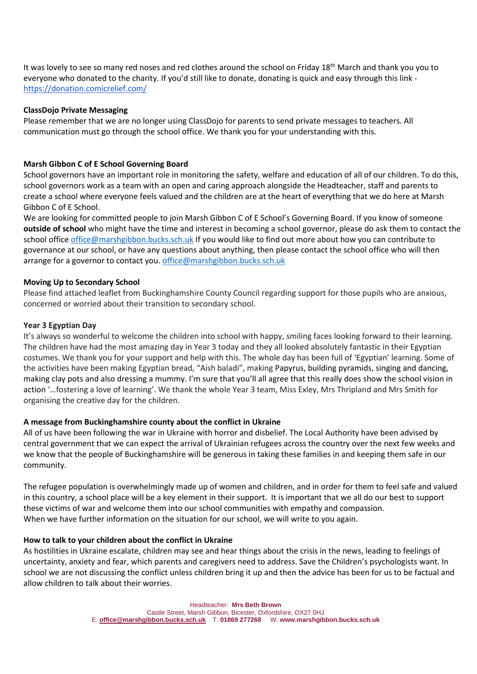It was lovely to see so many red noses and red clothes around the school on Friday 18<sup>th</sup> March and thank you you to everyone who donated to the charity. If you'd still like to donate, donating is quick and easy through this link <https://donation.comicrelief.com/>

## **ClassDojo Private Messaging**

Please remember that we are no longer using ClassDojo for parents to send private messages to teachers. All communication must go through the school office. We thank you for your understanding with this.

## **Marsh Gibbon C of E School Governing Board**

School governors have an important role in monitoring the safety, welfare and education of all of our children. To do this, school governors work as a team with an open and caring approach alongside the Headteacher, staff and parents to create a school where everyone feels valued and the children are at the heart of everything that we do here at Marsh Gibbon C of E School.

We are looking for committed people to join Marsh Gibbon C of E School's Governing Board. If you know of someone **outside of school** who might have the time and interest in becoming a school governor, please do ask them to contact the school office [office@marshgibbon.bucks.sch.uk](mailto:office@marshgibbon.bucks.sch.uk) If you would like to find out more about how you can contribute to governance at our school, or have any questions about anything, then please contact the school office who will then arrange for a governor to contact you. [office@marshgibbon.bucks.sch.uk](mailto:office@marshgibbon.bucks.sch.uk)

## **Moving Up to Secondary School**

Please find attached leaflet from Buckinghamshire County Council regarding support for those pupils who are anxious, concerned or worried about their transition to secondary school.

#### **Year 3 Egyptian Day**

It's always so wonderful to welcome the children into school with happy, smiling faces looking forward to their learning. The children have had the most amazing day in Year 3 today and they all looked absolutely fantastic in their Egyptian costumes. We thank you for your support and help with this. The whole day has been full of 'Egyptian' learning. Some of the activities have been making Egyptian bread, "Aish baladi", making Papyrus, building pyramids, singing and dancing, making clay pots and also dressing a mummy. I'm sure that you'll all agree that this really does show the school vision in action '…fostering a love of learning'. We thank the whole Year 3 team, Miss Exley, Mrs Thripland and Mrs Smith for organising the creative day for the children.

#### **A message from Buckinghamshire county about the conflict in Ukraine**

All of us have been following the war in Ukraine with horror and disbelief. The Local Authority have been advised by central government that we can expect the arrival of Ukrainian refugees across the country over the next few weeks and we know that the people of Buckinghamshire will be generous in taking these families in and keeping them safe in our community.

The refugee population is overwhelmingly made up of women and children, and in order for them to feel safe and valued in this country, a school place will be a key element in their support. It is important that we all do our best to support these victims of war and welcome them into our school communities with empathy and compassion. When we have further information on the situation for our school, we will write to you again.

#### **How to talk to your children about the conflict in Ukraine**

As hostilities in Ukraine escalate, children may see and hear things about the crisis in the news, leading to feelings of uncertainty, anxiety and fear, which parents and caregivers need to address. Save the Children's psychologists want. In school we are not discussing the conflict unless children bring it up and then the advice has been for us to be factual and allow children to talk about their worries.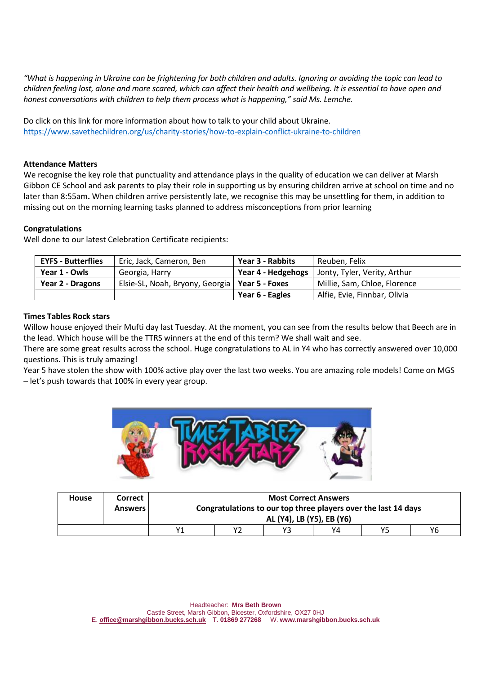*"What is happening in Ukraine can be frightening for both children and adults. Ignoring or avoiding the topic can lead to children feeling lost, alone and more scared, which can affect their health and wellbeing. It is essential to have open and honest conversations with children to help them process what is happening," said Ms. Lemche.* 

Do click on this link for more information about how to talk to your child about Ukraine. <https://www.savethechildren.org/us/charity-stories/how-to-explain-conflict-ukraine-to-children>

#### **Attendance Matters**

We recognise the key role that punctuality and attendance plays in the quality of education we can deliver at Marsh Gibbon CE School and ask parents to play their role in supporting us by ensuring children arrive at school on time and no later than 8:55am**.** When children arrive persistently late, we recognise this may be unsettling for them, in addition to missing out on the morning learning tasks planned to address misconceptions from prior learning

## **Congratulations**

Well done to our latest Celebration Certificate recipients:

| <b>EYFS - Butterflies</b> | Eric, Jack, Cameron, Ben                         | Year 3 - Rabbits   | Reuben, Felix                |
|---------------------------|--------------------------------------------------|--------------------|------------------------------|
| Year 1 - Owls             | Georgia, Harry                                   | Year 4 - Hedgehogs | Jonty, Tyler, Verity, Arthur |
| Year 2 - Dragons          | Elsie-SL, Noah, Bryony, Georgia   Year 5 - Foxes |                    | Millie, Sam, Chloe, Florence |
|                           |                                                  | Year 6 - Eagles    | Alfie, Evie, Finnbar, Olivia |

## **Times Tables Rock stars**

Willow house enjoyed their Mufti day last Tuesday. At the moment, you can see from the results below that Beech are in the lead. Which house will be the TTRS winners at the end of this term? We shall wait and see.

There are some great results across the school. Huge congratulations to AL in Y4 who has correctly answered over 10,000 questions. This is truly amazing!

Year 5 have stolen the show with 100% active play over the last two weeks. You are amazing role models! Come on MGS – let's push towards that 100% in every year group.



| <b>House</b> | <b>Correct</b> | <b>Most Correct Answers</b>                                    |  |    |    |    |    |
|--------------|----------------|----------------------------------------------------------------|--|----|----|----|----|
|              | <b>Answers</b> | Congratulations to our top three players over the last 14 days |  |    |    |    |    |
|              |                | AL (Y4), LB (Y5), EB (Y6)                                      |  |    |    |    |    |
|              |                | ۷1                                                             |  | Y3 | Y4 | Y5 | Υ6 |